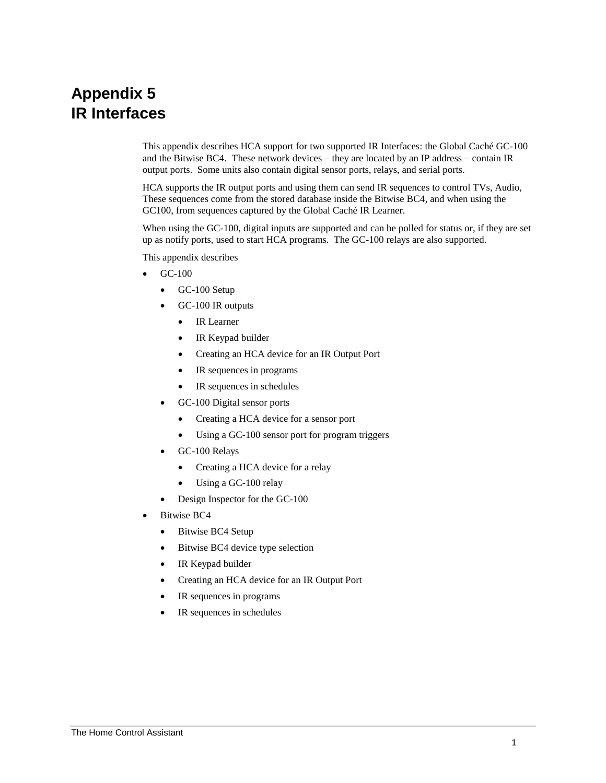# **Appendix 5 IR Interfaces**

This appendix describes HCA support for two supported IR Interfaces: the Global Caché GC-100 and the Bitwise BC4. These network devices – they are located by an IP address – contain IR output ports. Some units also contain digital sensor ports, relays, and serial ports.

HCA supports the IR output ports and using them can send IR sequences to control TVs, Audio, These sequences come from the stored database inside the Bitwise BC4, and when using the GC100, from sequences captured by the Global Caché IR Learner.

When using the GC-100, digital inputs are supported and can be polled for status or, if they are set up as notify ports, used to start HCA programs. The GC-100 relays are also supported.

This appendix describes

- GC-100
	- GC-100 Setup
	- GC-100 IR outputs
		- IR Learner
		- IR Keypad builder
		- Creating an HCA device for an IR Output Port
		- IR sequences in programs
		- IR sequences in schedules
	- GC-100 Digital sensor ports
		- Creating a HCA device for a sensor port
		- Using a GC-100 sensor port for program triggers
	- GC-100 Relays
		- Creating a HCA device for a relay
		- Using a GC-100 relay
	- Design Inspector for the GC-100
- Bitwise BC4
	- Bitwise BC4 Setup
	- Bitwise BC4 device type selection
	- IR Keypad builder
	- Creating an HCA device for an IR Output Port
	- IR sequences in programs
	- IR sequences in schedules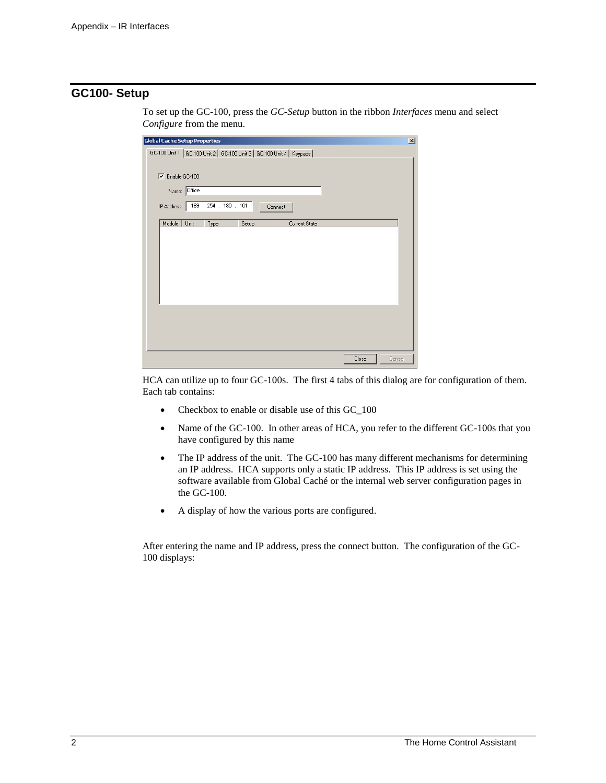## **GC100- Setup**

| <b>Global Cache Setup Properties</b>                                    | $\mathbf{x}$ |
|-------------------------------------------------------------------------|--------------|
| GC-100 Unit 1   GC-100 Unit 2   GC-100 Unit 3   GC-100 Unit 4   Keypads |              |
|                                                                         |              |
| $\nabla$ Enable GC-100                                                  |              |
| Name: Office                                                            |              |
|                                                                         |              |
| IP Address: 169 . 254 . 180 . 101<br>Connect                            |              |
| Module<br>Unit<br>Type<br>Setup<br>Current State                        |              |
|                                                                         |              |
|                                                                         |              |
|                                                                         |              |
|                                                                         |              |
|                                                                         |              |
|                                                                         |              |
|                                                                         |              |
|                                                                         |              |
|                                                                         |              |
|                                                                         |              |
|                                                                         |              |
| Close<br>Cancel                                                         |              |

To set up the GC-100, press the *GC-Setup* button in the ribbon *Interfaces* menu and select *Configure* from the menu.

HCA can utilize up to four GC-100s. The first 4 tabs of this dialog are for configuration of them. Each tab contains:

- Checkbox to enable or disable use of this GC\_100
- Name of the GC-100. In other areas of HCA, you refer to the different GC-100s that you have configured by this name
- The IP address of the unit. The GC-100 has many different mechanisms for determining an IP address. HCA supports only a static IP address. This IP address is set using the software available from Global Caché or the internal web server configuration pages in the GC-100.
- A display of how the various ports are configured.

After entering the name and IP address, press the connect button. The configuration of the GC-100 displays: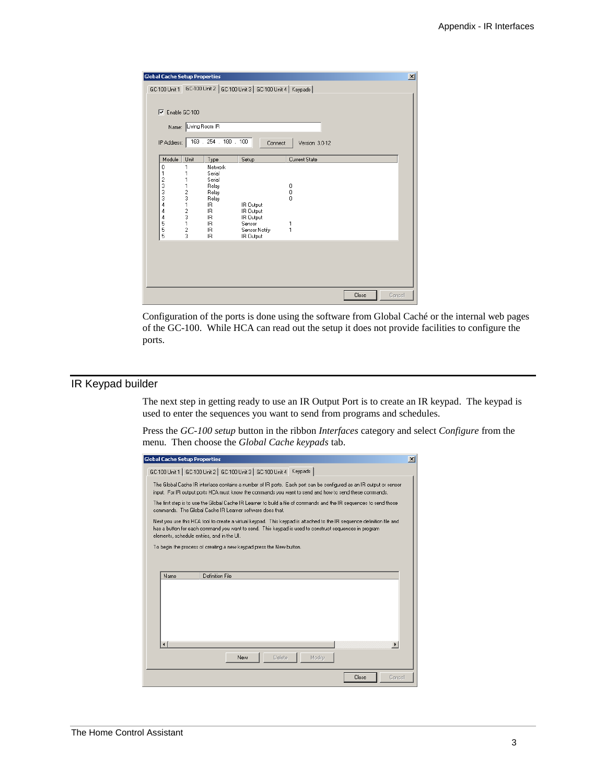| <b>Global Cache Setup Properties</b> |                      |                       |                                                                   |                 |       | $\vert x \vert$ |
|--------------------------------------|----------------------|-----------------------|-------------------------------------------------------------------|-----------------|-------|-----------------|
|                                      |                      |                       | GC-100 Unit 1 GC-100 Unit 2 GC-100 Unit 3 GC-100 Unit 4   Keypads |                 |       |                 |
|                                      |                      |                       |                                                                   |                 |       |                 |
| Enable GC-100<br>⊽                   |                      |                       |                                                                   |                 |       |                 |
|                                      | Name: Living Room IR |                       |                                                                   |                 |       |                 |
| IP Address:                          |                      | 169 . 254 . 180 . 100 | Connect                                                           | Version: 3.0-12 |       |                 |
|                                      |                      |                       |                                                                   |                 |       |                 |
| Module                               | Unit                 | Type                  | Setup                                                             | Current State   |       |                 |
| 0                                    |                      | Network               |                                                                   |                 |       |                 |
| 1                                    |                      | Serial                |                                                                   |                 |       |                 |
| $\frac{2}{3}$                        |                      | Serial                |                                                                   |                 |       |                 |
| 3                                    | 1                    | Relay<br>Relay        |                                                                   | 0<br>0          |       |                 |
| 3                                    | $\frac{2}{3}$        | Relay                 |                                                                   | O               |       |                 |
| 4                                    | 1                    | IB.                   | IR Output                                                         |                 |       |                 |
| 4                                    | 2                    | IR.                   | IR Output                                                         |                 |       |                 |
| 4                                    | 3                    | IB.                   | IR Output                                                         |                 |       |                 |
| 5<br>5                               | 1                    | IB.<br>IR.            | Sensor<br>Sensor Notifu                                           | 1<br>1          |       |                 |
| 5                                    | 2<br>3               | IR.                   | IR Output                                                         |                 |       |                 |
|                                      |                      |                       |                                                                   |                 |       |                 |
|                                      |                      |                       |                                                                   |                 |       |                 |
|                                      |                      |                       |                                                                   |                 |       |                 |
|                                      |                      |                       |                                                                   |                 |       |                 |
|                                      |                      |                       |                                                                   |                 |       |                 |
|                                      |                      |                       |                                                                   |                 |       |                 |
|                                      |                      |                       |                                                                   |                 | Close | Cancel          |

Configuration of the ports is done using the software from Global Caché or the internal web pages of the GC-100. While HCA can read out the setup it does not provide facilities to configure the ports.

# IR Keypad builder

The next step in getting ready to use an IR Output Port is to create an IR keypad. The keypad is used to enter the sequences you want to send from programs and schedules.

Press the *GC-100 setup* button in the ribbon *Interfaces* category and select *Configure* from the menu. Then choose the *Global Cache keypads* tab.

| <b>Global Cache Setup Properties</b><br>$\vert x \vert$                                                                                                                                                                                                                      |
|------------------------------------------------------------------------------------------------------------------------------------------------------------------------------------------------------------------------------------------------------------------------------|
| GC-100 Unit 1   GC-100 Unit 2   GC-100 Unit 3   GC-100 Unit 4 Keypads                                                                                                                                                                                                        |
| The Global Cache IR interface contains a number of IR ports. Each port can be configured as an IR output or sensor<br>input. For IR output ports HCA must know the commands you want to send and how to send these commands.                                                 |
| The first step is to use the Global Cache IR Learner to build a file of commands and the IR sequences to send those<br>commands. The Global Cache IR Learner software does that.                                                                                             |
| Next you use this HCA tool to create a virtual keypad. This keypad is attached to the IR sequence definition file and<br>has a button for each command you want to send. This keypad is used to construct sequences in program<br>elements, schedule entries, and in the UI. |
| To begin the process of creating a new keypad press the New button.                                                                                                                                                                                                          |
|                                                                                                                                                                                                                                                                              |
| Definition File<br>Name                                                                                                                                                                                                                                                      |
|                                                                                                                                                                                                                                                                              |
|                                                                                                                                                                                                                                                                              |
|                                                                                                                                                                                                                                                                              |
|                                                                                                                                                                                                                                                                              |
|                                                                                                                                                                                                                                                                              |
| Modify<br>New<br>Delete                                                                                                                                                                                                                                                      |
| Close<br>Cancel                                                                                                                                                                                                                                                              |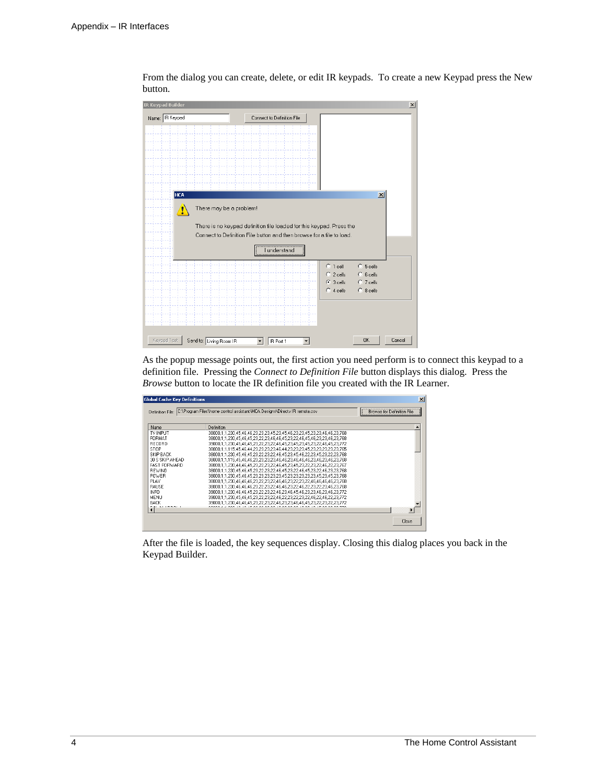| <b>IR Keypad Builder</b>                           |                                                                       |                            |                        | $\vert x \vert$ |
|----------------------------------------------------|-----------------------------------------------------------------------|----------------------------|------------------------|-----------------|
| Name: R Keypad                                     | Connect to Definition File                                            |                            |                        |                 |
|                                                    |                                                                       |                            |                        |                 |
|                                                    |                                                                       |                            |                        |                 |
|                                                    |                                                                       |                            |                        |                 |
|                                                    |                                                                       |                            |                        |                 |
|                                                    |                                                                       |                            |                        |                 |
| <b>HCA</b>                                         |                                                                       |                            | $\vert x \vert$        |                 |
|                                                    |                                                                       |                            |                        |                 |
| There may be a problem!<br>$\langle \cdot \rangle$ |                                                                       |                            |                        |                 |
|                                                    | There is no keypad definition file loaded for this keypad. Press the  |                            |                        |                 |
|                                                    | Connect to Definition File button and then browse for a file to load. |                            |                        |                 |
|                                                    | <b>lunderstand</b>                                                    |                            |                        |                 |
|                                                    |                                                                       | $C_{\perp}$ 1 cell         | C 5 cells              |                 |
|                                                    |                                                                       | $C$ 2 cells<br>$C$ 3 cells | C 6 cells<br>C 7 cells |                 |
|                                                    |                                                                       | $C$ 4 cells                | $C.8$ cells            |                 |
|                                                    |                                                                       |                            |                        |                 |
|                                                    |                                                                       |                            |                        |                 |
|                                                    |                                                                       |                            |                        |                 |
| Keypad Test<br>Send to: Living Room IR             | IR Port 1                                                             |                            | <b>OK</b>              |                 |

From the dialog you can create, delete, or edit IR keypads. To create a new Keypad press the New button.

As the popup message points out, the first action you need perform is to connect this keypad to a definition file. Pressing the *Connect to Definition File* button displays this dialog. Press the *Browse* button to locate the IR definition file you created with the IR Learner.

| Definition File:    | C:\Program Files\home control assistant\HCA Designs\Directv IR remote.csv     | <b>Browse for Definition File</b> |
|---------------------|-------------------------------------------------------------------------------|-----------------------------------|
| <b>Name</b>         | Definition                                                                    |                                   |
| <b>TV INPUT</b>     | 38000.1.1.230.45.46.46.23.23.23.45.23.45.46.23.23.45.23.23.46.46.23.768       |                                   |
| FORMAT              | 38000.1.1.230.45.46.45.23.22.23.46.46.45.23.22.46.45.45.23.23.46.23.768       |                                   |
| RECORD              | 39000.1.1.230.45.46.45.23.22.23.22.46.45.23.45.23.45.23.22.46.45.23.772       |                                   |
| STOP                | 38000.1.1.115.45.46.44.23.23.23.46.44.23.23.23.45.23.23.23.23.23.765          |                                   |
| SKIP BACK           | 38000.1.1.230.45.46.45.23.22.23.22.46.45.23.45.46.22.23.45.23.22.23.768       |                                   |
| 30 S SKIP AHEAD     | 38000.1.1.115.45.46.46.23.23.23.23.46.46.23.46.46.46.23.46.23.46.23.768       |                                   |
| <b>FAST FORWARD</b> | 38000,1,1,230,44,46,45,23,22,23,22,46,45,23,45,23,22,23,22,46,22,23,767       |                                   |
| <b>REWIND</b>       | 38000.1.1.230.45.46.45.23.22.23.22.46.45.23.22.46.45.23.22.46.23.23.768       |                                   |
| POWER               | 38000,1,1,230,45,46,45,23,23,23,23,23,45,23,23,23,23,23,45,23,45,23,768       |                                   |
| PLAY                | 38000.1.1.230.46.46.46.23.22.23.22.46.46.23.22.23.22.46.46.46.46.23.768       |                                   |
| <b>PALISE</b>       | 38000.1.1.230.46.46.46.23.22.23.22.46.46.23.22.46.22.23.22.23.46.23.768       |                                   |
| INFO.               | 39000.1.1.230.46.46.45.23.22.23.22.46.23.46.45.46.23.23.46.23.46.23.772       |                                   |
| MFNH                | 39000.1.1.230.45.46.45.23.22.23.22.46.22.23.22.23.22.46.22.46.22.46.22.23.772 |                                   |
| <b>BACK</b>         | 39000.1.1.230.46.46.45.23.22.23.22.46.23.23.46.46.45.23.22.23.22.23.772       |                                   |
| <b>BELLMMAN A</b>   |                                                                               |                                   |
|                     |                                                                               |                                   |

After the file is loaded, the key sequences display. Closing this dialog places you back in the Keypad Builder.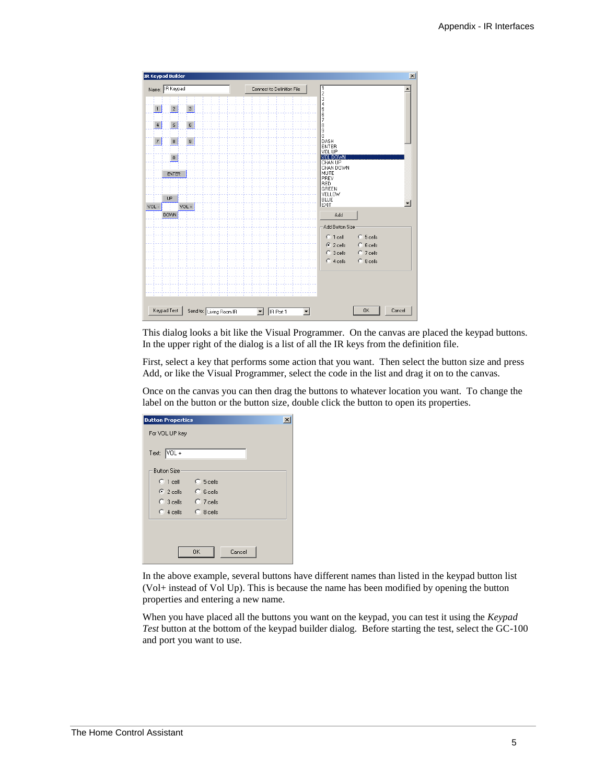

This dialog looks a bit like the Visual Programmer. On the canvas are placed the keypad buttons. In the upper right of the dialog is a list of all the IR keys from the definition file.

First, select a key that performs some action that you want. Then select the button size and press Add, or like the Visual Programmer, select the code in the list and drag it on to the canvas.

Once on the canvas you can then drag the buttons to whatever location you want. To change the label on the button or the button size, double click the button to open its properties.

| <b>Button Properties</b> |                   | $\times$ |
|--------------------------|-------------------|----------|
| For VOL UP key           |                   |          |
|                          |                   |          |
| Text: VOL +              |                   |          |
| <b>Button Size</b>       |                   |          |
| $\degree$ 1 cell         | $C_{5}$ 5 cells   |          |
|                          |                   |          |
| $\binom{2}{2}$ cells     | $\degree$ 6 cells |          |
| $C$ 3 cells              | $\Box$ 7 cells    |          |
| $C$ 4 cells              | C 8 cells         |          |
|                          |                   |          |
|                          |                   |          |
|                          | OK<br>Cancel      |          |
|                          |                   |          |

In the above example, several buttons have different names than listed in the keypad button list (Vol+ instead of Vol Up). This is because the name has been modified by opening the button properties and entering a new name.

When you have placed all the buttons you want on the keypad, you can test it using the *Keypad Test* button at the bottom of the keypad builder dialog. Before starting the test, select the GC-100 and port you want to use.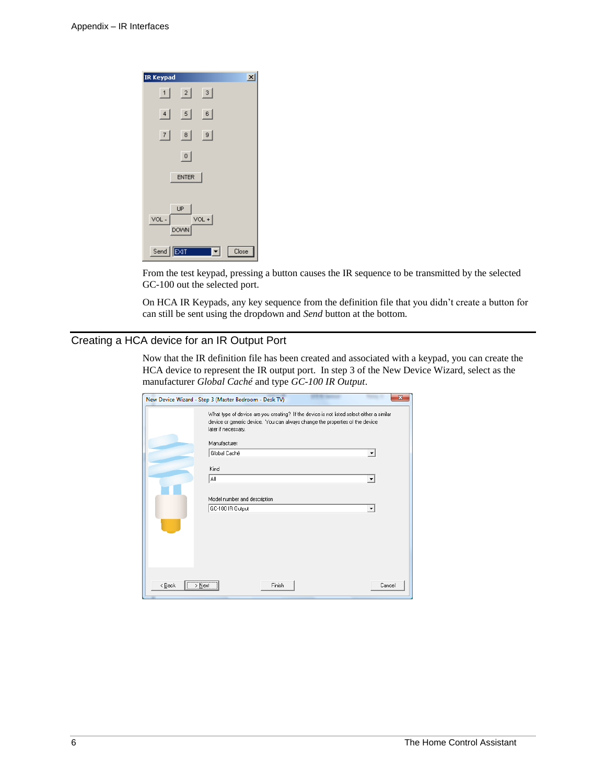

From the test keypad, pressing a button causes the IR sequence to be transmitted by the selected GC-100 out the selected port.

On HCA IR Keypads, any key sequence from the definition file that you didn't create a button for can still be sent using the dropdown and *Send* button at the bottom.

### Creating a HCA device for an IR Output Port

Now that the IR definition file has been created and associated with a keypad, you can create the HCA device to represent the IR output port. In step 3 of the New Device Wizard, select as the manufacturer *Global Caché* and type *GC-100 IR Output*.

|                                                          | New Device Wizard - Step 3 (Master Bedroom - Desk TV)                                                                                                                                            |                      |
|----------------------------------------------------------|--------------------------------------------------------------------------------------------------------------------------------------------------------------------------------------------------|----------------------|
|                                                          | What type of device are you creating? If the device is not listed select either a similar<br>device or generic device. You can always change the properties of the device<br>later if necessary. |                      |
|                                                          | Manufacturer                                                                                                                                                                                     |                      |
|                                                          | Global Caché                                                                                                                                                                                     | $\blacktriangledown$ |
|                                                          | Kind                                                                                                                                                                                             |                      |
|                                                          | All                                                                                                                                                                                              | $\blacktriangledown$ |
|                                                          |                                                                                                                                                                                                  |                      |
|                                                          | Model number and description<br>GC-100 IR Output                                                                                                                                                 |                      |
|                                                          |                                                                                                                                                                                                  |                      |
|                                                          |                                                                                                                                                                                                  |                      |
|                                                          |                                                                                                                                                                                                  |                      |
| $\overline{(\rightarrow \text{Next})}$<br>< <u>B</u> ack | Finish                                                                                                                                                                                           | Cancel               |
|                                                          |                                                                                                                                                                                                  |                      |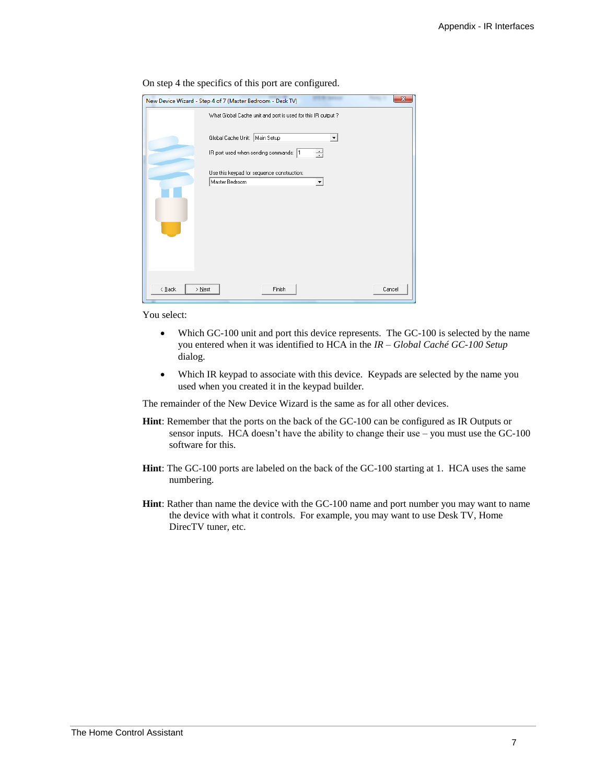| x<br>New Device Wizard - Step 4 of 7 (Master Bedroom - Desk TV)   |
|-------------------------------------------------------------------|
| What Global Cache unit and port is used for this IR output ?      |
| Global Cache Unit: Main Setup<br>▼                                |
| IR port used when sending commands:  1<br>÷                       |
| Use this keypad for sequence construction:<br>Master Bedroom<br>▼ |
|                                                                   |
|                                                                   |
|                                                                   |
|                                                                   |
|                                                                   |
| Finish<br>$\leq$ $\underline{B}$ ack<br>$>$ Next<br>Cancel        |

On step 4 the specifics of this port are configured.

You select:

- Which GC-100 unit and port this device represents. The GC-100 is selected by the name you entered when it was identified to HCA in the *IR – Global Caché GC-100 Setup* dialog.
- Which IR keypad to associate with this device. Keypads are selected by the name you used when you created it in the keypad builder.

The remainder of the New Device Wizard is the same as for all other devices.

- **Hint**: Remember that the ports on the back of the GC-100 can be configured as IR Outputs or sensor inputs. HCA doesn't have the ability to change their use – you must use the GC-100 software for this.
- **Hint**: The GC-100 ports are labeled on the back of the GC-100 starting at 1. HCA uses the same numbering.
- **Hint**: Rather than name the device with the GC-100 name and port number you may want to name the device with what it controls. For example, you may want to use Desk TV, Home DirecTV tuner, etc.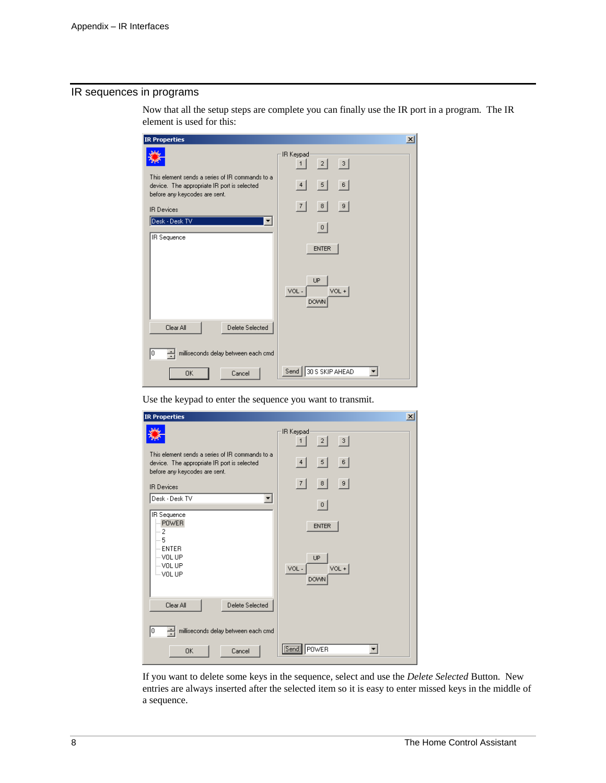## IR sequences in programs

| <b>IR Properties</b>                                                                                                            | $\vert x \vert$                       |
|---------------------------------------------------------------------------------------------------------------------------------|---------------------------------------|
|                                                                                                                                 | IR Keypad<br> 3 <br> 2 <br>1          |
| This element sends a series of IR commands to a<br>device. The appropriate IR port is selected<br>before any keycodes are sent. | $\vert 5 \vert$<br> 6 <br>4           |
| <b>IR Devices</b>                                                                                                               | 9<br> 8 <br> 7                        |
| Desk - Desk TV<br>▼<br>IR Sequence                                                                                              | 0 <br><b>ENTER</b>                    |
|                                                                                                                                 | UP<br>$VOL +$<br>VOL-<br><b>DOWN</b>  |
| Clear All<br>Delete Selected                                                                                                    |                                       |
| milliseconds delay between each cmd<br>싂<br>١o                                                                                  |                                       |
| <b>OK</b><br>Cancel                                                                                                             | 30 S SKIP AHEAD<br>Send <sup>[]</sup> |

Now that all the setup steps are complete you can finally use the IR port in a program. The IR element is used for this:

Use the keypad to enter the sequence you want to transmit.

| <b>IR Properties</b>                                                                                                            | $\vert x \vert$                                      |
|---------------------------------------------------------------------------------------------------------------------------------|------------------------------------------------------|
|                                                                                                                                 | IR Keypad<br> 2 <br> 3 <br>1 <sup>1</sup>            |
| This element sends a series of IR commands to a<br>device. The appropriate IR port is selected<br>before any keycodes are sent. | 5<br> 6 <br>4                                        |
| <b>IR Devices</b>                                                                                                               | 7 <br> 8 <br>-9                                      |
| Desk - Desk TV<br>▼                                                                                                             | 0                                                    |
| IR Sequence<br><b>POWER</b><br>!… 2<br>$-5$<br>$-$ ENTER<br>– VOL UP<br>l… VOL UP<br>ill VOL UP                                 | <b>ENTER</b><br>UP<br>$VOL +$<br>VOL-<br><b>DOWN</b> |
| Clear All<br>Delete Selected                                                                                                    |                                                      |
| milliseconds delay between each cmd<br>÷<br>0                                                                                   |                                                      |
| OK.<br>Cancel                                                                                                                   | [Send]<br>POWER                                      |

If you want to delete some keys in the sequence, select and use the *Delete Selected* Button. New entries are always inserted after the selected item so it is easy to enter missed keys in the middle of a sequence.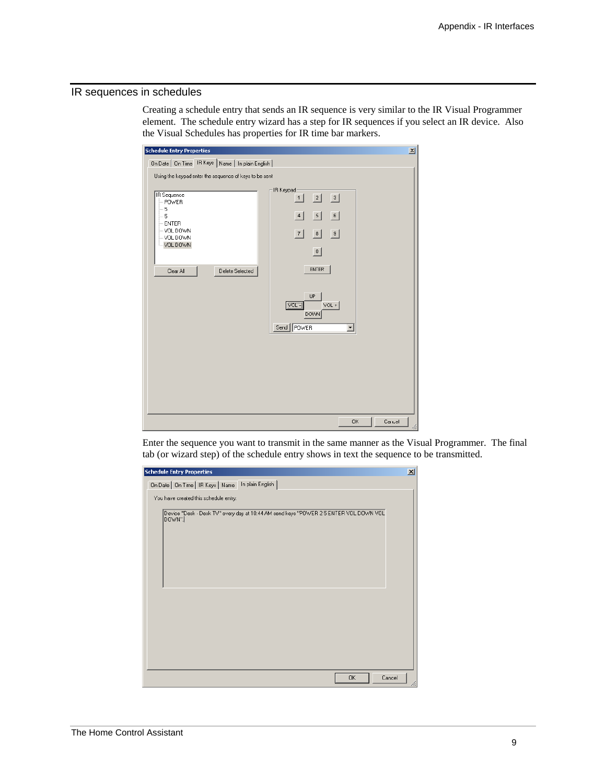### IR sequences in schedules

Creating a schedule entry that sends an IR sequence is very similar to the IR Visual Programmer element. The schedule entry wizard has a step for IR sequences if you select an IR device. Also the Visual Schedules has properties for IR time bar markers.

| <b>Schedule Entry Properties</b>                       |                                          | $\vert x \vert$ |
|--------------------------------------------------------|------------------------------------------|-----------------|
| On Date   On Time   IR Keys   Name   In plain English  |                                          |                 |
| Using the keypad enter the sequence of keys to be sent |                                          |                 |
|                                                        | IR Keypad-                               |                 |
| <b>IR</b> Sequence<br>$-$ POWER                        | 2 <br> 3 <br>1                           |                 |
| $-5$<br>5                                              | $\overline{\phantom{0}}$<br>6<br>4       |                 |
| $-$ ENTER<br>$-$ VOL DOWN                              | 7 <br> 8 <br> 9                          |                 |
| - VOL DOWN<br>VOL DOWN                                 |                                          |                 |
|                                                        | 0                                        |                 |
| Clear All<br>Delete Selected                           | <b>ENTER</b>                             |                 |
|                                                        |                                          |                 |
|                                                        | <b>UP</b>                                |                 |
|                                                        | $[VOL -]$<br>VOL +                       |                 |
|                                                        | <b>DOWN</b>                              |                 |
|                                                        | Send   POWER<br>$\overline{\phantom{0}}$ |                 |
|                                                        |                                          |                 |
|                                                        |                                          |                 |
|                                                        |                                          |                 |
|                                                        |                                          |                 |
|                                                        |                                          |                 |
|                                                        |                                          |                 |
|                                                        | <b>OK</b>                                | Cancel<br>//    |

Enter the sequence you want to transmit in the same manner as the Visual Programmer. The final tab (or wizard step) of the schedule entry shows in text the sequence to be transmitted.

| <b>Schedule Entry Properties</b>                                                               | $\vert x \vert$ |
|------------------------------------------------------------------------------------------------|-----------------|
| On Date   On Time   IR Keys   Name   In plain English                                          |                 |
| You have created this schedule entry:                                                          |                 |
| Device "Desk - Desk TV" every day at 10:44 AM send keys "POWER 25 ENTER VOL DOWN VOL<br>DOWN". |                 |
|                                                                                                |                 |
|                                                                                                |                 |
|                                                                                                |                 |
|                                                                                                |                 |
|                                                                                                |                 |
|                                                                                                |                 |
|                                                                                                |                 |
|                                                                                                |                 |
|                                                                                                |                 |
| Cancel<br>0K                                                                                   |                 |
|                                                                                                |                 |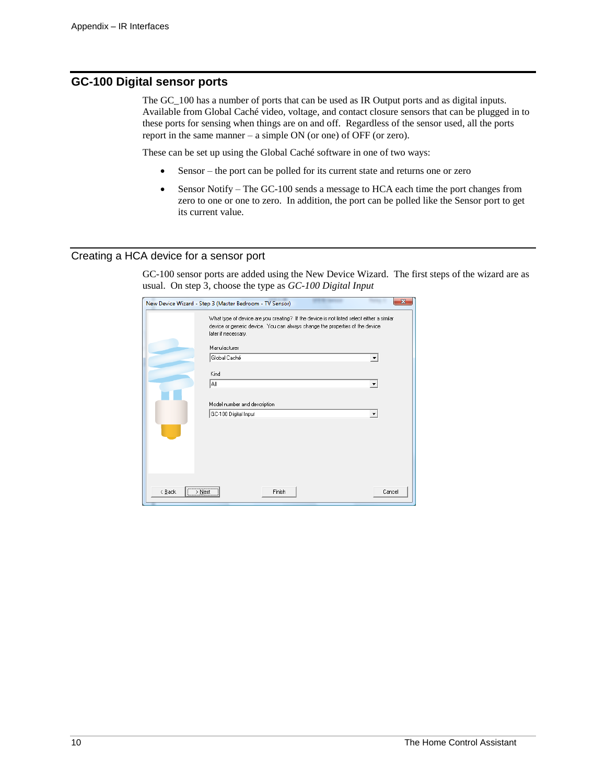# **GC-100 Digital sensor ports**

The GC\_100 has a number of ports that can be used as IR Output ports and as digital inputs. Available from Global Caché video, voltage, and contact closure sensors that can be plugged in to these ports for sensing when things are on and off. Regardless of the sensor used, all the ports report in the same manner – a simple ON (or one) of OFF (or zero).

These can be set up using the Global Caché software in one of two ways:

- Sensor the port can be polled for its current state and returns one or zero
- Sensor Notify The GC-100 sends a message to HCA each time the port changes from zero to one or one to zero. In addition, the port can be polled like the Sensor port to get its current value.

#### Creating a HCA device for a sensor port

GC-100 sensor ports are added using the New Device Wizard. The first steps of the wizard are as usual. On step 3, choose the type as *GC-100 Digital Input*

|                | New Device Wizard - Step 3 (Master Bedroom - TV Sensor)                                                                                                                                                          | х      |
|----------------|------------------------------------------------------------------------------------------------------------------------------------------------------------------------------------------------------------------|--------|
|                | What type of device are you creating? If the device is not listed select either a similar<br>device or generic device. You can always change the properties of the device<br>later if necessary.<br>Manufacturer |        |
|                |                                                                                                                                                                                                                  |        |
|                | Global Caché<br>▼                                                                                                                                                                                                |        |
|                | Kind                                                                                                                                                                                                             |        |
|                | All                                                                                                                                                                                                              |        |
|                |                                                                                                                                                                                                                  |        |
|                | Model number and description                                                                                                                                                                                     |        |
|                | GC-100 Digital Input                                                                                                                                                                                             |        |
|                |                                                                                                                                                                                                                  |        |
|                |                                                                                                                                                                                                                  |        |
|                |                                                                                                                                                                                                                  |        |
|                |                                                                                                                                                                                                                  |        |
|                |                                                                                                                                                                                                                  |        |
|                |                                                                                                                                                                                                                  |        |
| < <u>B</u> ack | $\overline{\longrightarrow}$ Next<br>Finish                                                                                                                                                                      | Cancel |
|                |                                                                                                                                                                                                                  |        |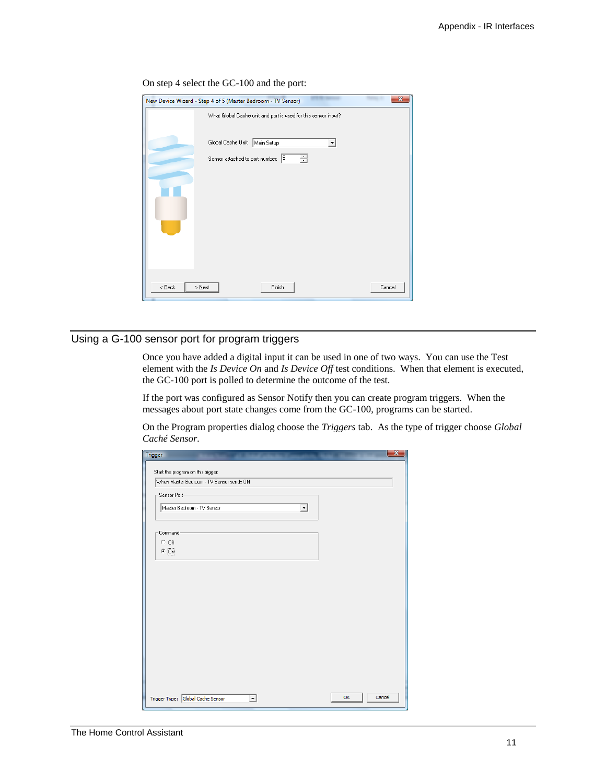|                            | New Device Wizard - Step 4 of 5 (Master Bedroom - TV Sensor)   | $\overline{\mathbf{x}}$ |
|----------------------------|----------------------------------------------------------------|-------------------------|
|                            | What Global Cache unit and port is used for this sensor input? |                         |
|                            | Global Cache Unit:   Main Setup                                |                         |
|                            | 골<br>Sensor attached to port number: 5                         |                         |
| $\langle$ Back<br>$>$ Next | Finish                                                         | Cancel                  |

#### On step 4 select the GC-100 and the port:

# Using a G-100 sensor port for program triggers

Once you have added a digital input it can be used in one of two ways. You can use the Test element with the *Is Device On* and *Is Device Off* test conditions. When that element is executed, the GC-100 port is polled to determine the outcome of the test.

If the port was configured as Sensor Notify then you can create program triggers. When the messages about port state changes come from the GC-100, programs can be started.

On the Program properties dialog choose the *Triggers* tab. As the type of trigger choose *Global Caché Sensor.*

| Start the program on this trigger:       |                          |  |
|------------------------------------------|--------------------------|--|
| When Master Bedroom - TV Sensor sends ON |                          |  |
| Sensor Port                              |                          |  |
| Master Bedroom - TV Sensor               | $\overline{\phantom{a}}$ |  |
| Command-                                 |                          |  |
| $C$ Off                                  |                          |  |
| $\in$ $\overline{\mathrm{On}}$           |                          |  |
|                                          |                          |  |
|                                          |                          |  |
|                                          |                          |  |
|                                          |                          |  |
|                                          |                          |  |
|                                          |                          |  |
|                                          |                          |  |
|                                          |                          |  |
|                                          |                          |  |
|                                          |                          |  |
|                                          |                          |  |
|                                          |                          |  |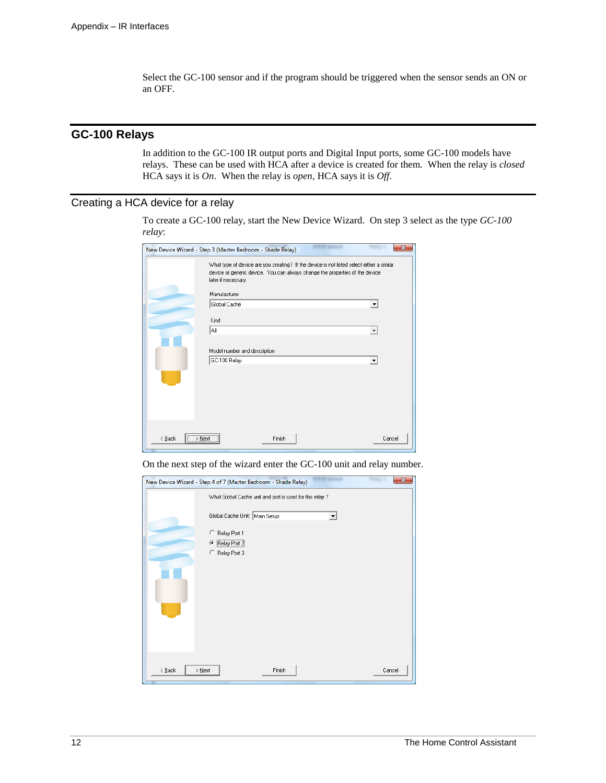Select the GC-100 sensor and if the program should be triggered when the sensor sends an ON or an OFF.

# **GC-100 Relays**

In addition to the GC-100 IR output ports and Digital Input ports, some GC-100 models have relays. These can be used with HCA after a device is created for them. When the relay is *closed* HCA says it is *On*. When the relay is *open*, HCA says it is *Off*.

### Creating a HCA device for a relay

To create a GC-100 relay, start the New Device Wizard. On step 3 select as the type *GC-100 relay*:

|             | New Device Wizard - Step 3 (Master Bedroom - Shade Relay)                                                                                                                                                        |        |
|-------------|------------------------------------------------------------------------------------------------------------------------------------------------------------------------------------------------------------------|--------|
|             | What type of device are you creating? If the device is not listed select either a similar<br>device or generic device. You can always change the properties of the device<br>later if necessary.<br>Manufacturer |        |
|             | Global Caché<br>$\blacktriangledown$                                                                                                                                                                             |        |
|             | Kind                                                                                                                                                                                                             |        |
|             | All<br>$\blacktriangledown$                                                                                                                                                                                      |        |
|             | Model number and description                                                                                                                                                                                     |        |
|             | GC-100 Relay<br>$\overline{\phantom{a}}$                                                                                                                                                                         |        |
|             |                                                                                                                                                                                                                  |        |
|             |                                                                                                                                                                                                                  |        |
| < Back<br>⋋ | <br>Next<br>Finish                                                                                                                                                                                               | Cancel |

On the next step of the wizard enter the GC-100 unit and relay number.

| New Device Wizard - Step 4 of 7 (Master Bedroom - Shade Relay) | $\mathbf{x}$ |
|----------------------------------------------------------------|--------------|
| What Global Cache unit and port is used for this relay ?       |              |
| Global Cache Unit:   Main Setup<br>▼                           |              |
| C<br>Relay Port 1<br>Relay Port 2<br>G<br>Relay Port 3<br>C    |              |
| Finish<br>$\leq$ $\underline{B}$ ack<br>Cancel<br>$>$ Next     |              |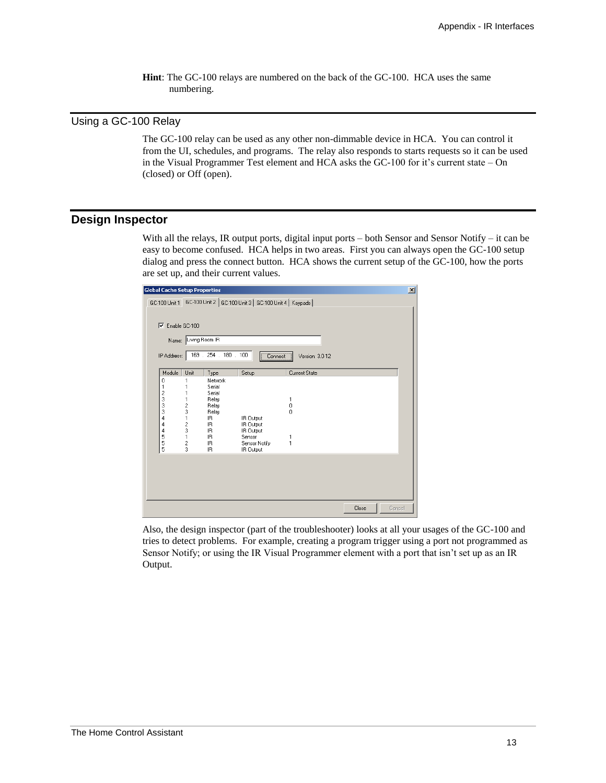**Hint**: The GC-100 relays are numbered on the back of the GC-100. HCA uses the same numbering.

## Using a GC-100 Relay

The GC-100 relay can be used as any other non-dimmable device in HCA. You can control it from the UI, schedules, and programs. The relay also responds to starts requests so it can be used in the Visual Programmer Test element and HCA asks the GC-100 for it's current state – On (closed) or Off (open).

#### **Design Inspector**

With all the relays, IR output ports, digital input ports – both Sensor and Sensor Notify – it can be easy to become confused. HCA helps in two areas. First you can always open the GC-100 setup dialog and press the connect button. HCA shows the current setup of the GC-100, how the ports are set up, and their current values.

| julobal Lache Setup Properties                           |                                                                        |                                                                                                  |                                                                             |                              |       | ᅀ      |  |  |
|----------------------------------------------------------|------------------------------------------------------------------------|--------------------------------------------------------------------------------------------------|-----------------------------------------------------------------------------|------------------------------|-------|--------|--|--|
|                                                          | GC-100 Unit 2 GC-100 Unit 3 GC-100 Unit 4   Keypads  <br>GC-100 Unit 1 |                                                                                                  |                                                                             |                              |       |        |  |  |
| ⊽                                                        | Enable GC-100                                                          |                                                                                                  |                                                                             |                              |       |        |  |  |
| Name:                                                    | Living Room IR                                                         |                                                                                                  |                                                                             |                              |       |        |  |  |
| IP Address:                                              |                                                                        | 169 . 254 . 180 . 100                                                                            | Connect                                                                     | Version: 3.0-12              |       |        |  |  |
| Module                                                   | Unit                                                                   | Type                                                                                             | Setup                                                                       | Current State                |       |        |  |  |
| 0<br>1<br>2<br>3<br>3<br>3<br>4<br>4<br>4<br>5<br>5<br>5 | 1<br>2<br>3<br>1<br>$\frac{2}{3}$<br>$\mathbf{1}$<br>$\frac{2}{3}$     | Network<br>Serial<br>Serial<br>Relay<br>Relay<br>Relay<br>IR.<br>IR.<br>IR.<br>IR.<br>IR.<br>IR. | IR Output<br>IR Output<br>IR Output<br>Sensor<br>Sensor Notify<br>IR Output | 1<br>0<br>$\theta$<br>1<br>1 |       |        |  |  |
|                                                          |                                                                        |                                                                                                  |                                                                             |                              |       |        |  |  |
|                                                          |                                                                        |                                                                                                  |                                                                             |                              | Close | Cancel |  |  |

Also, the design inspector (part of the troubleshooter) looks at all your usages of the GC-100 and tries to detect problems. For example, creating a program trigger using a port not programmed as Sensor Notify; or using the IR Visual Programmer element with a port that isn't set up as an IR Output.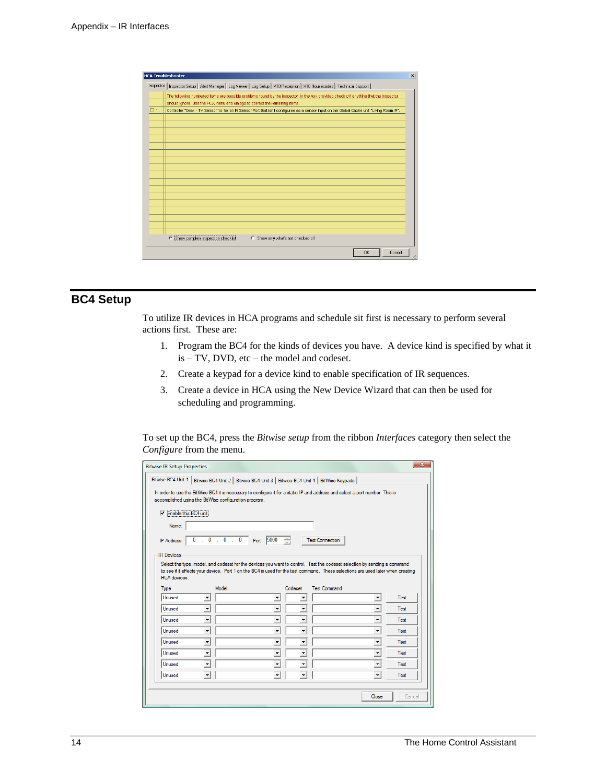| <b>HCA Troubleshooter</b>                                                                                                                              | $\vert x \vert$ |
|--------------------------------------------------------------------------------------------------------------------------------------------------------|-----------------|
| Inspector   Inspector Setup   Alert Manager   Log Viewer   Log Setup   X10 Reception   X10 Housecodes   Technical Support                              |                 |
| The following numbered items are possible problems found by the inspector. In the box provided check off anything that the inspector                   |                 |
| should ignore. Use the HCA menu and dialogs to correct the remaining items.                                                                            |                 |
| $\Box$ 1.<br>Controller "Desk - TV Sensor" is for an IR Sensor Port that isn't configured as a sensor input on the Global Cache unit "Living Room IR". |                 |
|                                                                                                                                                        |                 |
|                                                                                                                                                        |                 |
|                                                                                                                                                        |                 |
|                                                                                                                                                        |                 |
|                                                                                                                                                        |                 |
|                                                                                                                                                        |                 |
|                                                                                                                                                        |                 |
|                                                                                                                                                        |                 |
|                                                                                                                                                        |                 |
|                                                                                                                                                        |                 |
|                                                                                                                                                        |                 |
|                                                                                                                                                        |                 |
|                                                                                                                                                        |                 |
| 6 Show complete inspection checklist<br>Show only what's not checked off<br>$\circ$                                                                    |                 |
| <b>OK</b><br>Cancel                                                                                                                                    |                 |

# **BC4 Setup**

To utilize IR devices in HCA programs and schedule sit first is necessary to perform several actions first. These are:

- 1. Program the BC4 for the kinds of devices you have. A device kind is specified by what it is – TV, DVD, etc – the model and codeset.
- 2. Create a keypad for a device kind to enable specification of IR sequences.
- 3. Create a device in HCA using the New Device Wizard that can then be used for scheduling and programming.

To set up the BC4, press the *Bitwise setup* from the ribbon *Interfaces* category then select the *Configure* from the menu.

| $\overline{\mathbf{x}}$<br><b>Bitwise IR Setup Properties</b>                                       |                                                                                                                                                                                                                                                             |                                |                          |             |  |
|-----------------------------------------------------------------------------------------------------|-------------------------------------------------------------------------------------------------------------------------------------------------------------------------------------------------------------------------------------------------------------|--------------------------------|--------------------------|-------------|--|
| Bitwise BC4 Unit 1   Bitwise BC4 Unit 2   Bitwise BC4 Unit 3   Bitwise BC4 Unit 4   BitWise Keypads |                                                                                                                                                                                                                                                             |                                |                          |             |  |
|                                                                                                     | In order to use the BitWise BC4 it is necessary to configure it for a static IP and address and select a port number. This is<br>accomplished using the BitWise configuration program.                                                                      |                                |                          |             |  |
| $\nabla$ Enable this BC4 unit                                                                       |                                                                                                                                                                                                                                                             |                                |                          |             |  |
| Name:                                                                                               |                                                                                                                                                                                                                                                             |                                |                          |             |  |
| $\mathbf{0}$<br>IP Address:                                                                         | Port: 5000<br>1.01.01.0                                                                                                                                                                                                                                     | 싂<br><b>Test Connection</b>    |                          |             |  |
| <b>IR Devices</b>                                                                                   |                                                                                                                                                                                                                                                             |                                |                          |             |  |
| <b>HCA</b> devices                                                                                  | Select the type, model, and codeset for the devices you want to control. Test the codeset selection by sending a command<br>to see if it effects your device. Port 1 on the BC4 is used for the test command. These selections are used later when creating |                                |                          |             |  |
| Type                                                                                                | Model                                                                                                                                                                                                                                                       | <b>Test Command</b><br>Codeset |                          |             |  |
| Unused<br>$\blacktriangledown$                                                                      | $\blacktriangledown$                                                                                                                                                                                                                                        | $\overline{\phantom{a}}$       | $\blacktriangledown$     | Test        |  |
| $\blacktriangledown$<br>Unused                                                                      | $\overline{\phantom{a}}$                                                                                                                                                                                                                                    | $\overline{\phantom{a}}$       | $\overline{\phantom{0}}$ | Test        |  |
| Unused<br>$\blacktriangledown$                                                                      | $\blacktriangledown$                                                                                                                                                                                                                                        | ۰                              | $\blacktriangledown$     | Test        |  |
| Unused<br>$\blacktriangledown$                                                                      | $\overline{\phantom{a}}$                                                                                                                                                                                                                                    | $\blacktriangledown$           | $\blacktriangledown$     | Test        |  |
| Unused<br>$\blacktriangledown$                                                                      | $\overline{\phantom{a}}$                                                                                                                                                                                                                                    | $\overline{\phantom{a}}$       | $\overline{\phantom{a}}$ | Test        |  |
| Unused<br>$\blacktriangledown$                                                                      | $\overline{\phantom{a}}$                                                                                                                                                                                                                                    | ٠                              | $\overline{\phantom{0}}$ | Test        |  |
| Unused<br>$\blacktriangledown$                                                                      | $\blacktriangledown$                                                                                                                                                                                                                                        | $\overline{\phantom{a}}$       | $\blacktriangledown$     | Test        |  |
| Unused<br>$\blacktriangledown$                                                                      | $\overline{\phantom{a}}$                                                                                                                                                                                                                                    | $\overline{\phantom{a}}$       | $\overline{\phantom{a}}$ | <b>Test</b> |  |
|                                                                                                     |                                                                                                                                                                                                                                                             |                                |                          |             |  |
|                                                                                                     |                                                                                                                                                                                                                                                             |                                | Close                    | Cancel      |  |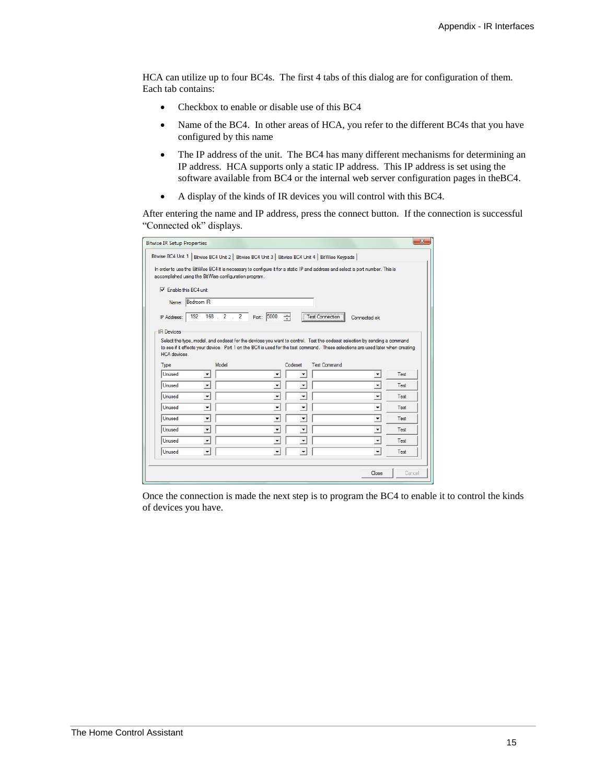HCA can utilize up to four BC4s. The first 4 tabs of this dialog are for configuration of them. Each tab contains:

- Checkbox to enable or disable use of this BC4
- Name of the BC4. In other areas of HCA, you refer to the different BC4s that you have configured by this name
- The IP address of the unit. The BC4 has many different mechanisms for determining an IP address. HCA supports only a static IP address. This IP address is set using the software available from BC4 or the internal web server configuration pages in theBC4.
- A display of the kinds of IR devices you will control with this BC4.

After entering the name and IP address, press the connect button. If the connection is successful "Connected ok" displays.

| <b>Bitwise IR Setup Properties</b>                                                                                                                                                     |                          |             |                          |                          |                     |                                                                                                                                                                                                                                                             | $\mathbf{x}$ |
|----------------------------------------------------------------------------------------------------------------------------------------------------------------------------------------|--------------------------|-------------|--------------------------|--------------------------|---------------------|-------------------------------------------------------------------------------------------------------------------------------------------------------------------------------------------------------------------------------------------------------------|--------------|
| Bitwise BC4 Unit 1   Bitwise BC4 Unit 2   Bitwise BC4 Unit 3   Bitwise BC4 Unit 4   BitWise Keypads                                                                                    |                          |             |                          |                          |                     |                                                                                                                                                                                                                                                             |              |
| In order to use the BitWise BC4 it is necessary to configure it for a static IP and address and select a port number. This is<br>accomplished using the BitWise configuration program. |                          |             |                          |                          |                     |                                                                                                                                                                                                                                                             |              |
| $\nabla$ Enable this BC4 unit                                                                                                                                                          |                          |             |                          |                          |                     |                                                                                                                                                                                                                                                             |              |
|                                                                                                                                                                                        | Name: Bedroom IR         |             |                          |                          |                     |                                                                                                                                                                                                                                                             |              |
| IP Address:                                                                                                                                                                            |                          | 192.168.2.2 | Port: 5000               | 싂                        | Test Connection     | Connected ok                                                                                                                                                                                                                                                |              |
| <b>IR Devices</b>                                                                                                                                                                      |                          |             |                          |                          |                     |                                                                                                                                                                                                                                                             |              |
| HCA devices.                                                                                                                                                                           |                          |             |                          |                          |                     | Select the type, model, and codeset for the devices you want to control. Test the codeset selection by sending a command<br>to see if it effects your device. Port 1 on the BC4 is used for the test command. These selections are used later when creating |              |
| Type                                                                                                                                                                                   |                          | Model       |                          | Codeset                  | <b>Test Command</b> |                                                                                                                                                                                                                                                             |              |
| Unused                                                                                                                                                                                 | $\blacktriangledown$     |             | $\blacktriangledown$     | $\overline{\phantom{a}}$ |                     | ۰                                                                                                                                                                                                                                                           | Test         |
| Unused                                                                                                                                                                                 | $\overline{\phantom{a}}$ |             | $\overline{\phantom{a}}$ | $\overline{\phantom{a}}$ |                     | $\overline{\phantom{a}}$                                                                                                                                                                                                                                    | Test         |
| Unused                                                                                                                                                                                 | $\blacktriangledown$     |             | ▼                        | ۰                        |                     | $\overline{\phantom{a}}$                                                                                                                                                                                                                                    | Test         |
| Unused                                                                                                                                                                                 | $\blacktriangledown$     |             | $\blacktriangledown$     | $\blacktriangledown$     |                     | $\overline{\phantom{a}}$                                                                                                                                                                                                                                    | Test         |
| Unused                                                                                                                                                                                 | $\overline{\phantom{a}}$ |             | $\overline{\phantom{a}}$ | $\overline{\phantom{a}}$ |                     | $\overline{\phantom{a}}$                                                                                                                                                                                                                                    | Test         |
| Unused                                                                                                                                                                                 | $\blacktriangledown$     |             | $\overline{\phantom{a}}$ | ۰                        |                     | $\overline{\phantom{0}}$                                                                                                                                                                                                                                    | Test         |
| Unused                                                                                                                                                                                 | $\overline{\phantom{a}}$ |             | $\blacktriangledown$     | ۰                        |                     | $\blacktriangledown$                                                                                                                                                                                                                                        | Test         |
| Unused                                                                                                                                                                                 | $\overline{\phantom{a}}$ |             | $\overline{\phantom{a}}$ | $\overline{\phantom{a}}$ |                     | $\overline{\phantom{0}}$                                                                                                                                                                                                                                    | <b>Test</b>  |
|                                                                                                                                                                                        |                          |             |                          |                          |                     |                                                                                                                                                                                                                                                             |              |
|                                                                                                                                                                                        |                          |             |                          |                          |                     | Close                                                                                                                                                                                                                                                       | Cancel       |

Once the connection is made the next step is to program the BC4 to enable it to control the kinds of devices you have.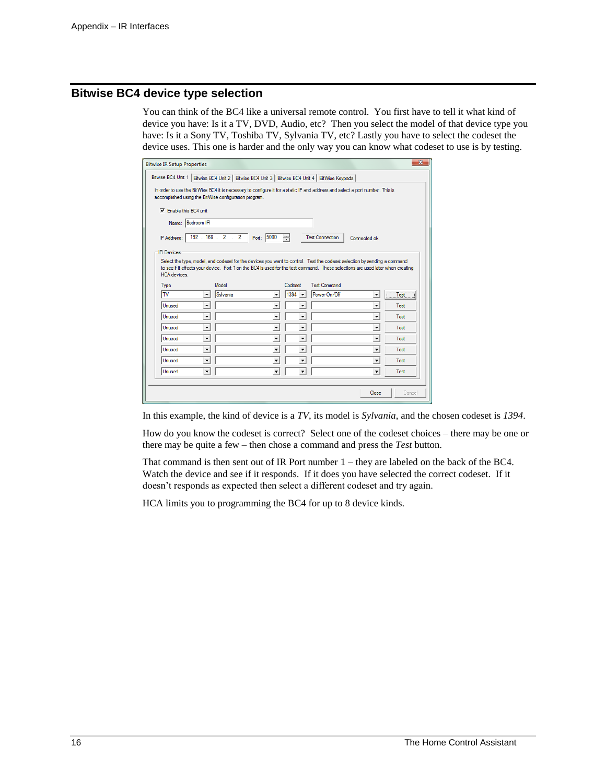## **Bitwise BC4 device type selection**

You can think of the BC4 like a universal remote control. You first have to tell it what kind of device you have: Is it a TV, DVD, Audio, etc? Then you select the model of that device type you have: Is it a Sony TV, Toshiba TV, Sylvania TV, etc? Lastly you have to select the codeset the device uses. This one is harder and the only way you can know what codeset to use is by testing.

| $\overline{\mathbf{X}}$<br><b>Bitwise IR Setup Properties</b>                                                                                                                                                                                                               |  |  |  |  |  |
|-----------------------------------------------------------------------------------------------------------------------------------------------------------------------------------------------------------------------------------------------------------------------------|--|--|--|--|--|
| Bitwise BC4 Unit 1   Bitwise BC4 Unit 2   Bitwise BC4 Unit 3   Bitwise BC4 Unit 4   BitWise Keypads                                                                                                                                                                         |  |  |  |  |  |
| In order to use the BitWise BC4 it is necessary to configure it for a static IP and address and select a port number. This is<br>accomplished using the BitWise configuration program.                                                                                      |  |  |  |  |  |
| $\nabla$ Enable this BC4 unit                                                                                                                                                                                                                                               |  |  |  |  |  |
| Name: Bedroom IR                                                                                                                                                                                                                                                            |  |  |  |  |  |
| 192 . 168 . 2 . 2 Port: 5000<br>싂<br><b>Test Connection</b><br>IP Address:<br>Connected ok                                                                                                                                                                                  |  |  |  |  |  |
| <b>IR Devices</b>                                                                                                                                                                                                                                                           |  |  |  |  |  |
| Select the type, model, and codeset for the devices you want to control. Test the codeset selection by sending a command<br>to see if it effects your device. Port 1 on the BC4 is used for the test command. These selections are used later when creating<br>HCA devices. |  |  |  |  |  |
| Model<br><b>Test Command</b><br>Codeset<br>Type                                                                                                                                                                                                                             |  |  |  |  |  |
| Test<br><b>TV</b><br>Power On/Off<br>Sylvania<br>$1394 -$<br>$\blacktriangledown$<br>$\overline{\phantom{a}}$<br>$\overline{\phantom{a}}$                                                                                                                                   |  |  |  |  |  |
| $\overline{\phantom{0}}$<br>Unused<br>$\blacktriangledown$<br>Test<br>$\overline{\phantom{a}}$<br>۰                                                                                                                                                                         |  |  |  |  |  |
| $\overline{\phantom{a}}$<br>$\overline{\phantom{a}}$<br>Unused<br>$\overline{\phantom{a}}$<br><b>Test</b><br>۰                                                                                                                                                              |  |  |  |  |  |
| $\overline{\phantom{0}}$<br>Unused<br>$\blacktriangledown$<br>٠<br>Test<br>$\overline{\phantom{a}}$                                                                                                                                                                         |  |  |  |  |  |
| $\overline{\phantom{0}}$<br>$\overline{\phantom{a}}$<br>Unused<br>Test<br>$\overline{\phantom{a}}$<br>$\overline{\phantom{a}}$                                                                                                                                              |  |  |  |  |  |
| $\overline{\phantom{a}}$<br>$\overline{\phantom{a}}$<br>Unused<br>$\overline{\phantom{a}}$<br>$\overline{\phantom{a}}$<br>Test                                                                                                                                              |  |  |  |  |  |
| $\blacktriangledown$<br>Unused<br>$\blacktriangledown$<br>$\overline{\phantom{a}}$<br>Test<br>$\overline{\phantom{a}}$                                                                                                                                                      |  |  |  |  |  |
| $\overline{\phantom{a}}$<br>Unused<br>$\overline{\phantom{a}}$<br>$\overline{\phantom{a}}$<br>Test<br>$\overline{\phantom{a}}$                                                                                                                                              |  |  |  |  |  |
|                                                                                                                                                                                                                                                                             |  |  |  |  |  |
| Close<br>Cancel                                                                                                                                                                                                                                                             |  |  |  |  |  |

In this example, the kind of device is a *TV*, its model is *Sylvania*, and the chosen codeset is *1394*.

How do you know the codeset is correct? Select one of the codeset choices – there may be one or there may be quite a few – then chose a command and press the *Test* button.

That command is then sent out of IR Port number 1 – they are labeled on the back of the BC4. Watch the device and see if it responds. If it does you have selected the correct codeset. If it doesn't responds as expected then select a different codeset and try again.

HCA limits you to programming the BC4 for up to 8 device kinds.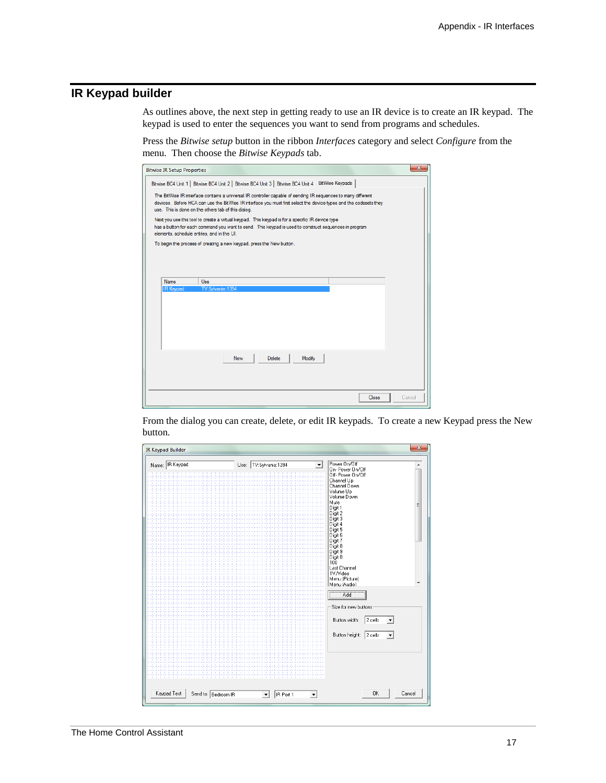# **IR Keypad builder**

As outlines above, the next step in getting ready to use an IR device is to create an IR keypad. The keypad is used to enter the sequences you want to send from programs and schedules.

Press the *Bitwise setup* button in the ribbon *Interfaces* category and select *Configure* from the menu. Then choose the *Bitwise Keypads* tab.

| $\mathbf{x}$<br><b>Bitwise IR Setup Properties</b>                                                                                                                                                                                                                                                                                                                                                                                                                                                                                                                                                                                                                                                                                 |
|------------------------------------------------------------------------------------------------------------------------------------------------------------------------------------------------------------------------------------------------------------------------------------------------------------------------------------------------------------------------------------------------------------------------------------------------------------------------------------------------------------------------------------------------------------------------------------------------------------------------------------------------------------------------------------------------------------------------------------|
| Bitwise BC4 Unit 1   Bitwise BC4 Unit 2   Bitwise BC4 Unit 3   Bitwise BC4 Unit 4   BitWise Keypads<br>The BitWise IR interface contains a universal IR controller capable of sending IR sequences to many different<br>devices. Before HCA can use the BitWise IR interface you must first select the device types and the codesets they<br>use. This is done on the others tab of this dialog.<br>Next you use this tool to create a virtual keypad. This keypad is for a specific IR device type<br>has a button for each command you want to send. This keypad is used to construct sequences in program<br>elements, schedule entries, and in the UI.<br>To begin the process of creating a new keypad, press the New button. |
| Name<br>Use<br>TV:Sylvania:1394<br><b>IR Keypad</b>                                                                                                                                                                                                                                                                                                                                                                                                                                                                                                                                                                                                                                                                                |
| Delete<br>Modify<br><b>New</b>                                                                                                                                                                                                                                                                                                                                                                                                                                                                                                                                                                                                                                                                                                     |
| Close<br>Cancel                                                                                                                                                                                                                                                                                                                                                                                                                                                                                                                                                                                                                                                                                                                    |

From the dialog you can create, delete, or edit IR keypads. To create a new Keypad press the New button.

| <b>IR Keypad Builder</b>           |                                                               | zз                                             |
|------------------------------------|---------------------------------------------------------------|------------------------------------------------|
| Name: R Keypad                     | Use: TV:Sylvania:1394                                         | Power On/Off<br>▲                              |
|                                    |                                                               | On-Power On/Off                                |
|                                    |                                                               | Off- Power On/Off                              |
|                                    |                                                               | Channel Up<br>Channel Down                     |
|                                    |                                                               | Volume Up                                      |
|                                    |                                                               | Volume Down<br>Mute                            |
|                                    |                                                               | Ξ<br>Digit 1                                   |
|                                    |                                                               | Digit 2<br>Digit 3                             |
|                                    |                                                               | Digit 4                                        |
|                                    |                                                               | Digit 5                                        |
|                                    |                                                               | Digit 6<br>Digit 7                             |
|                                    |                                                               | Digit 8                                        |
|                                    |                                                               | Digit 9                                        |
|                                    |                                                               | Digit 0                                        |
|                                    |                                                               | $100-$<br>Last Channel                         |
|                                    |                                                               | <b>TV/Video</b>                                |
|                                    |                                                               | Menu (Picture)<br>٠                            |
|                                    |                                                               | Menu (Audio)                                   |
|                                    |                                                               | Add                                            |
|                                    |                                                               |                                                |
|                                    |                                                               | Size for new buttons                           |
|                                    |                                                               |                                                |
|                                    |                                                               | 2 cells<br>Button width:<br>▼                  |
|                                    |                                                               |                                                |
|                                    |                                                               | Button height: 2 cells<br>$\blacktriangledown$ |
|                                    |                                                               |                                                |
|                                    |                                                               |                                                |
|                                    |                                                               |                                                |
|                                    |                                                               |                                                |
|                                    |                                                               |                                                |
|                                    |                                                               |                                                |
|                                    |                                                               | 0K                                             |
| Keypad Test<br>Send to: Bedroom IR | IR Port 1<br>$\blacktriangledown$<br>$\overline{\phantom{a}}$ | Cancel                                         |
|                                    |                                                               |                                                |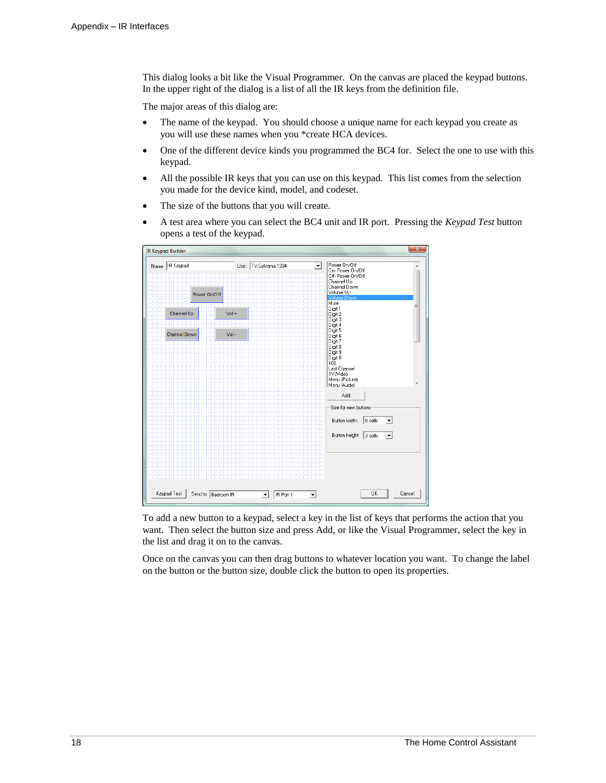This dialog looks a bit like the Visual Programmer. On the canvas are placed the keypad buttons. In the upper right of the dialog is a list of all the IR keys from the definition file.

The major areas of this dialog are:

- The name of the keypad. You should choose a unique name for each keypad you create as you will use these names when you \*create HCA devices.
- One of the different device kinds you programmed the BC4 for. Select the one to use with this keypad.
- All the possible IR keys that you can use on this keypad. This list comes from the selection you made for the device kind, model, and codeset.
- The size of the buttons that you will create.
- A test area where you can select the BC4 unit and IR port. Pressing the *Keypad Test* button opens a test of the keypad.

|                                    |         |                                                           |                                                                                                                       | $\overline{\mathbf{x}}$ |
|------------------------------------|---------|-----------------------------------------------------------|-----------------------------------------------------------------------------------------------------------------------|-------------------------|
| Name: IR Keypad<br>Power On/Off    |         | Use: TV:Sylvania:1394                                     | Power 0n/0ff<br>On-Power On/Off<br>Off- Power On/Off<br>Channel Up<br>Channel Down<br>Volume Up<br><b>Volume Down</b> |                         |
| Channel Up                         | $Vol +$ |                                                           | Mute<br>Digit 1<br>Digit 2<br>Digit 3<br>Digit 4<br>Digit 5                                                           | Ξ                       |
| <b>Channel Down</b>                | $Vol -$ |                                                           | Digit 6<br>Digit 7<br>Digit 8<br>Digit 9<br>Digit 0<br>$100^{\circ}$                                                  |                         |
|                                    |         |                                                           | Last Channel<br>TV/Video<br>Menu (Picture)<br>Menu (Audio).<br>Add                                                    |                         |
|                                    |         |                                                           | Size for new buttons<br>8 cells<br>Button width:<br>$\blacktriangledown$                                              |                         |
|                                    |         |                                                           | Button height:<br>$ 3$ cells<br>▼                                                                                     |                         |
| Keypad Test<br>Send to: Bedroom IR |         | IR Port 1<br>$\blacktriangledown$<br>$\blacktriangledown$ | Cancel<br>OK                                                                                                          |                         |

To add a new button to a keypad, select a key in the list of keys that performs the action that you want. Then select the button size and press Add, or like the Visual Programmer, select the key in the list and drag it on to the canvas.

Once on the canvas you can then drag buttons to whatever location you want. To change the label on the button or the button size, double click the button to open its properties.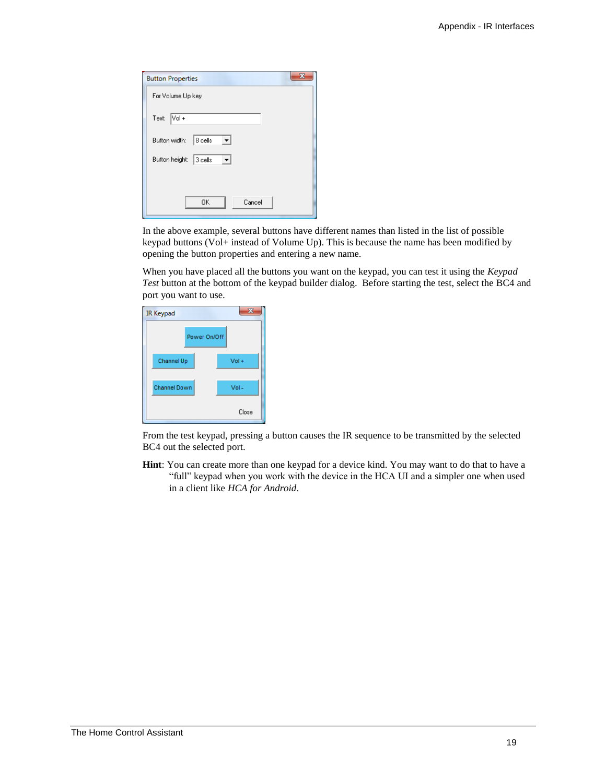| <b>Button Properties</b>       |
|--------------------------------|
| For Volume Up key              |
| Text: Vol+                     |
| $ 8 \>$ cells<br>Button width: |
| Button height: 3 cells         |
|                                |
| Cancel<br><b>OK</b>            |

In the above example, several buttons have different names than listed in the list of possible keypad buttons (Vol+ instead of Volume Up). This is because the name has been modified by opening the button properties and entering a new name.

When you have placed all the buttons you want on the keypad, you can test it using the *Keypad Test* button at the bottom of the keypad builder dialog. Before starting the test, select the BC4 and port you want to use.

| <b>IR Keypad</b>    |              | S.      |
|---------------------|--------------|---------|
|                     | Power On/Off |         |
| Channel Up          |              | $Vol +$ |
| <b>Channel Down</b> |              | $Vol -$ |
|                     |              | Close   |

From the test keypad, pressing a button causes the IR sequence to be transmitted by the selected BC4 out the selected port.

**Hint**: You can create more than one keypad for a device kind. You may want to do that to have a "full" keypad when you work with the device in the HCA UI and a simpler one when used in a client like *HCA for Android*.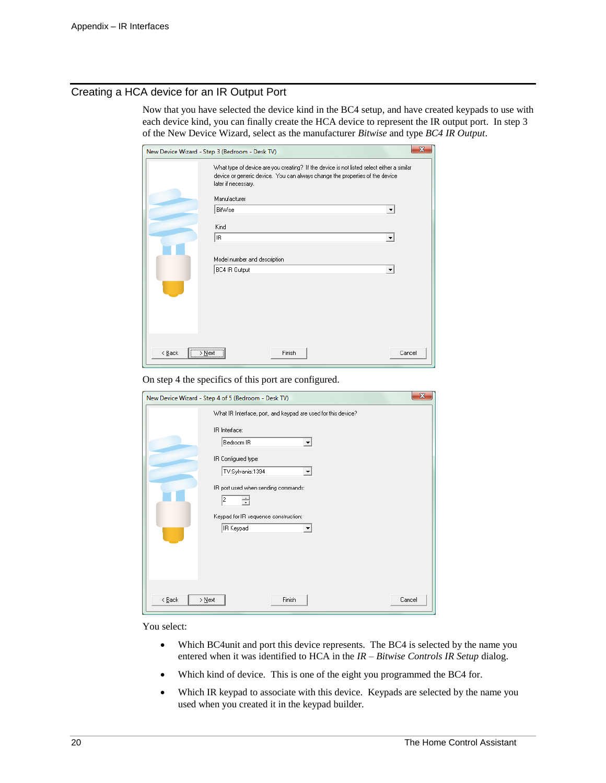### Creating a HCA device for an IR Output Port

Now that you have selected the device kind in the BC4 setup, and have created keypads to use with each device kind, you can finally create the HCA device to represent the IR output port. In step 3 of the New Device Wizard, select as the manufacturer *Bitwise* and type *BC4 IR Output*.

|             | New Device Wizard - Step 3 (Bedroom - Desk TV)                                                                                                                                                   | $\overline{\mathbf{x}}$ |
|-------------|--------------------------------------------------------------------------------------------------------------------------------------------------------------------------------------------------|-------------------------|
|             | What type of device are you creating? If the device is not listed select either a similar<br>device or generic device. You can always change the properties of the device<br>later if necessary. |                         |
|             | Manufacturer                                                                                                                                                                                     |                         |
|             | BitWise<br>$\overline{\phantom{a}}$                                                                                                                                                              |                         |
|             | Kind                                                                                                                                                                                             |                         |
|             | IR.                                                                                                                                                                                              |                         |
|             | Model number and description                                                                                                                                                                     |                         |
|             | BC4 IR Output<br>$\blacktriangledown$                                                                                                                                                            |                         |
|             |                                                                                                                                                                                                  |                         |
| $\leq$ Back | Finish<br>Cancel<br>> Next                                                                                                                                                                       |                         |

On step 4 the specifics of this port are configured.

| New Device Wizard - Step 4 of 5 (Bedroom - Desk TV)                                                                                                                                                                                                          | $\mathbf{x}$ |
|--------------------------------------------------------------------------------------------------------------------------------------------------------------------------------------------------------------------------------------------------------------|--------------|
| What IR Interface, port, and keypad are used for this device?<br>IR Interface:<br>Bedroom IR<br>۰<br>IR Configured type:<br>TV:Sylvania:1394<br>▼<br>IR port used when sending commands:<br>2<br>÷<br>Keypad for IR sequence construction:<br>IR Keypad<br>▼ |              |
| Finish<br>Cancel<br>< <u>B</u> ack<br>> Next                                                                                                                                                                                                                 |              |

You select:

- Which BC4unit and port this device represents. The BC4 is selected by the name you entered when it was identified to HCA in the *IR – Bitwise Controls IR Setup* dialog.
- Which kind of device. This is one of the eight you programmed the BC4 for.
- Which IR keypad to associate with this device. Keypads are selected by the name you used when you created it in the keypad builder.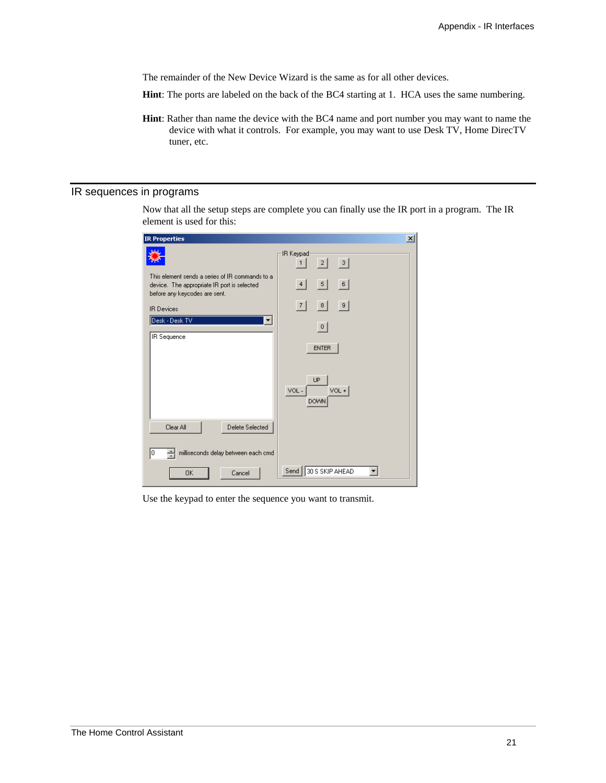The remainder of the New Device Wizard is the same as for all other devices.

- **Hint**: The ports are labeled on the back of the BC4 starting at 1. HCA uses the same numbering.
- **Hint**: Rather than name the device with the BC4 name and port number you may want to name the device with what it controls. For example, you may want to use Desk TV, Home DirecTV tuner, etc.

# IR sequences in programs

Now that all the setup steps are complete you can finally use the IR port in a program. The IR element is used for this:

| <b>IR Properties</b>                                                                                                            | $\vert x \vert$                      |
|---------------------------------------------------------------------------------------------------------------------------------|--------------------------------------|
|                                                                                                                                 | IR Keypad<br> 3 <br> 2 <br>1         |
| This element sends a series of IR commands to a<br>device. The appropriate IR port is selected<br>before any keycodes are sent. | 6<br>$\vert 5 \vert$<br>4            |
| <b>IR Devices</b>                                                                                                               | 9 <br> 7 <br> 8                      |
| Desk - Desk TV<br>▼                                                                                                             | 0                                    |
| <b>IR</b> Sequence                                                                                                              | <b>ENTER</b>                         |
|                                                                                                                                 | UP<br>$VOL +$<br>VOL-<br><b>DOWN</b> |
| Clear All<br>Delete Selected                                                                                                    |                                      |
| milliseconds delay between each cmd<br>싂<br>I٥                                                                                  |                                      |
| <b>OK</b><br>Cancel                                                                                                             | 30 S SKIP AHEAD<br>Send              |

Use the keypad to enter the sequence you want to transmit.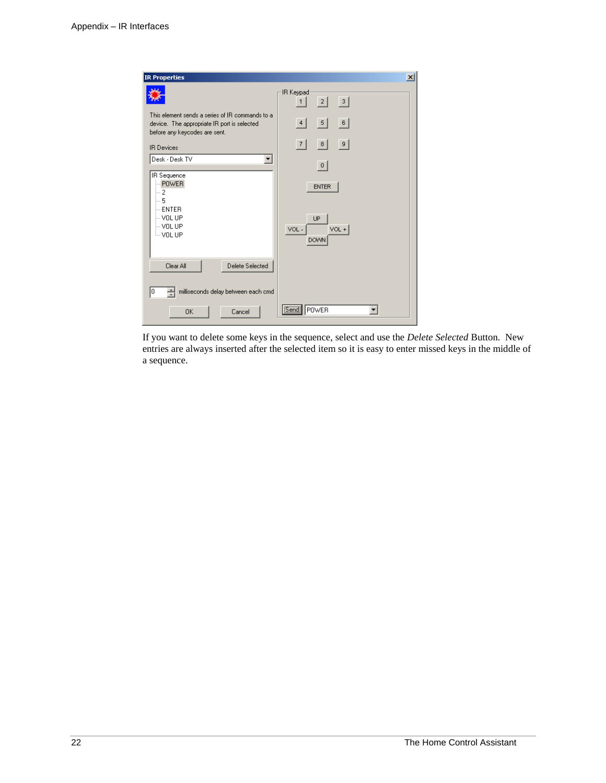| <b>IR Properties</b>                                                                                                            | $\vert x \vert$                                      |
|---------------------------------------------------------------------------------------------------------------------------------|------------------------------------------------------|
|                                                                                                                                 | IR Keypad<br> 3 <br> 2 <br>1                         |
| This element sends a series of IR commands to a<br>device. The appropriate IR port is selected<br>before any keycodes are sent. | 6 <br>5<br>4                                         |
| <b>IR Devices</b>                                                                                                               | -9<br> 7 <br> 8                                      |
| Desk - Desk TV<br>▼                                                                                                             | 0                                                    |
| IR Sequence<br>- POWER<br>!… 2<br>$-5$<br>$-$ ENTER<br>– VOL UP<br>– VOL UP<br>i VOL UP                                         | <b>ENTER</b><br>UP<br>$VOL +$<br>VOL-<br><b>DOWN</b> |
| Clear All<br>Delete Selected                                                                                                    |                                                      |
| milliseconds delay between each cmd<br>10                                                                                       |                                                      |
| Cancel<br>0K                                                                                                                    | [Send]<br>POWER                                      |

If you want to delete some keys in the sequence, select and use the *Delete Selected* Button. New entries are always inserted after the selected item so it is easy to enter missed keys in the middle of a sequence.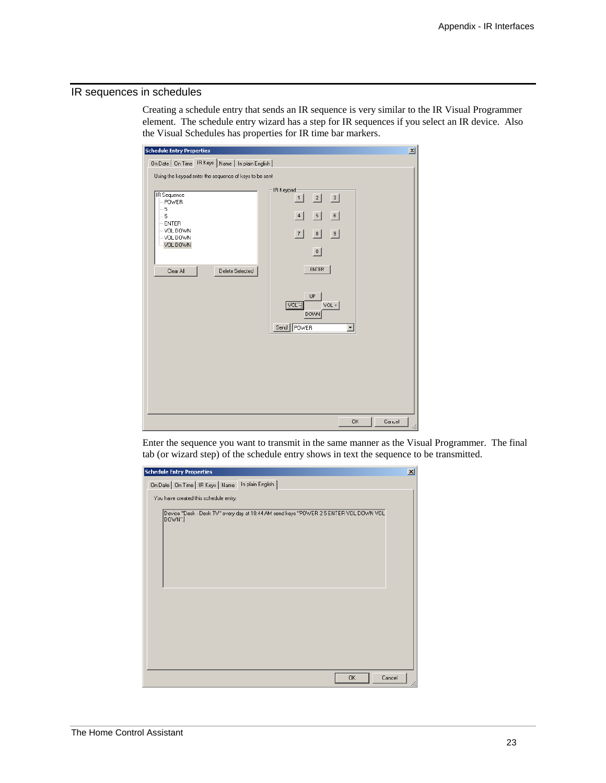#### IR sequences in schedules

Creating a schedule entry that sends an IR sequence is very similar to the IR Visual Programmer element. The schedule entry wizard has a step for IR sequences if you select an IR device. Also the Visual Schedules has properties for IR time bar markers.

| <b>Schedule Entry Properties</b>                                                                                                                                                                   | $\vert x \vert$                                                                                                                                                                                                                     |
|----------------------------------------------------------------------------------------------------------------------------------------------------------------------------------------------------|-------------------------------------------------------------------------------------------------------------------------------------------------------------------------------------------------------------------------------------|
| On Date   On Time   IR Keys   Name   In plain English                                                                                                                                              |                                                                                                                                                                                                                                     |
| Using the keypad enter the sequence of keys to be sent<br><b>IR</b> Sequence<br>$-$ POWER<br>$-5$<br>- 5<br>$-$ ENTER<br>$-$ VOL DOWN<br>$-$ VOL DOWN<br>-VOL DOWN<br>Clear All<br>Delete Selected | IR Keypad-<br> 2 <br>$\vert$ 3<br>1<br>$\overline{\phantom{0}}$<br>6<br>4<br> 7 <br> 9 <br> 8 <br> 0 <br><b>ENTER</b><br><b>UP</b><br>$\overline{\text{NOL}}$ -<br>VOL +<br><b>DOWN</b><br>Send   POWER<br>$\overline{\phantom{a}}$ |
|                                                                                                                                                                                                    |                                                                                                                                                                                                                                     |
|                                                                                                                                                                                                    | <b>OK</b><br>Cancel<br>h                                                                                                                                                                                                            |

Enter the sequence you want to transmit in the same manner as the Visual Programmer. The final tab (or wizard step) of the schedule entry shows in text the sequence to be transmitted.

| <b>Schedule Entry Properties</b>                                                               | $\vert x \vert$ |
|------------------------------------------------------------------------------------------------|-----------------|
| On Date   On Time   IR Keys   Name   In plain English                                          |                 |
| You have created this schedule entry:                                                          |                 |
| Device "Desk - Desk TV" every day at 10:44 AM send keys "POWER 25 ENTER VOL DOWN VOL<br>DOWN". |                 |
|                                                                                                |                 |
|                                                                                                |                 |
|                                                                                                |                 |
|                                                                                                |                 |
|                                                                                                |                 |
|                                                                                                |                 |
|                                                                                                |                 |
|                                                                                                |                 |
|                                                                                                |                 |
| Cancel<br>0K                                                                                   |                 |